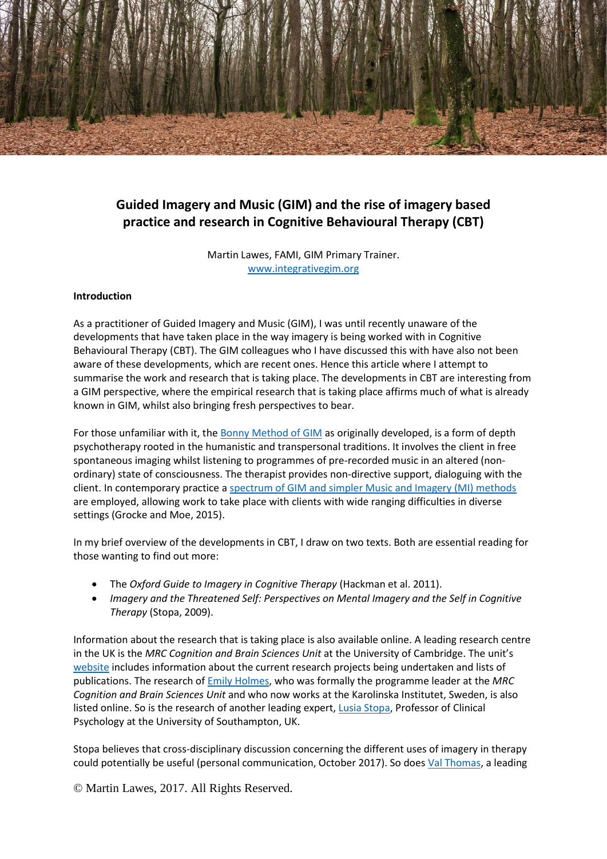

# **Guided Imagery and Music (GIM) and the rise of imagery based practice and research in Cognitive Behavioural Therapy (CBT)**

Martin Lawes, FAMI, GIM Primary Trainer. [www.integrativegim.org](http://www.integrativegim.org/)

#### **Introduction**

As a practitioner of Guided Imagery and Music (GIM), I was until recently unaware of the developments that have taken place in the way imagery is being worked with in Cognitive Behavioural Therapy (CBT). The GIM colleagues who I have discussed this with have also not been aware of these developments, which are recent ones. Hence this article where I attempt to summarise the work and research that is taking place. The developments in CBT are interesting from a GIM perspective, where the empirical research that is taking place affirms much of what is already known in GIM, whilst also bringing fresh perspectives to bear.

For those unfamiliar with it, the [Bonny Method of GIM](https://www.linkedin.com/pulse/what-bonny-method-guided-imagery-music-gim-martin-lawes/) as originally developed, is a form of depth psychotherapy rooted in the humanistic and transpersonal traditions. It involves the client in free spontaneous imaging whilst listening to programmes of pre-recorded music in an altered (nonordinary) state of consciousness. The therapist provides non-directive support, dialoguing with the client. In contemporary practice [a spectrum of GIM and simpler Music and Imagery \(MI\) methods](https://www.linkedin.com/pulse/guided-imagery-music-gim-spectrum-contemporary-practice-martin-lawes/) are employed, allowing work to take place with clients with wide ranging difficulties in diverse settings (Grocke and Moe, 2015).

In my brief overview of the developments in CBT, I draw on two texts. Both are essential reading for those wanting to find out more:

- The *Oxford Guide to Imagery in Cognitive Therapy* (Hackman et al. 2011).
- *Imagery and the Threatened Self: Perspectives on Mental Imagery and the Self in Cognitive Therapy* (Stopa, 2009).

Information about the research that is taking place is also available online. A leading research centre in the UK is the *MRC Cognition and Brain Sciences Unit* at the University of Cambridge. The unit's [website](http://www.mrc-cbu.cam.ac.uk/our-research/holmes/) includes information about the current research projects being undertaken and lists of publications. The research of [Emily Holmes,](http://ki.se/en/people/emihol) who was formally the programme leader at the *MRC Cognition and Brain Sciences Unit* and who now works at the Karolinska Institutet, Sweden, is also listed online. So is the research of another leading expert, **Lusia Stopa**, Professor of Clinical Psychology at the University of Southampton, UK.

Stopa believes that cross-disciplinary discussion concerning the different uses of imagery in therapy could potentially be useful (personal communication, October 2017). So doe[s Val Thomas,](https://valeriethomas.uk/) a leading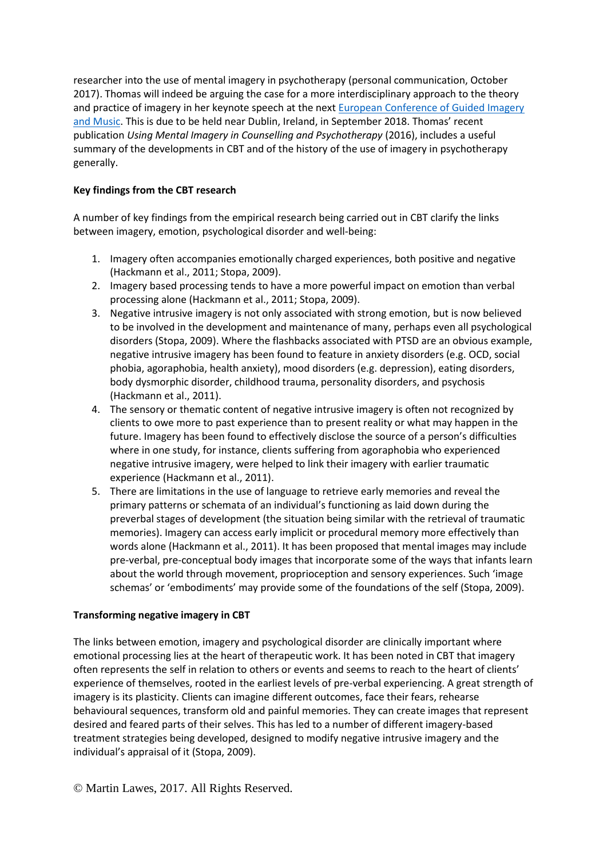researcher into the use of mental imagery in psychotherapy (personal communication, October 2017). Thomas will indeed be arguing the case for a more interdisciplinary approach to the theory and practice of imagery in her keynote speech at the next [European Conference of Guided Imagery](https://www.eami2018.eu/)  [and Music.](https://www.eami2018.eu/) This is due to be held near Dublin, Ireland, in September 2018. Thomas' recent publication *Using Mental Imagery in Counselling and Psychotherapy* (2016), includes a useful summary of the developments in CBT and of the history of the use of imagery in psychotherapy generally.

## **Key findings from the CBT research**

A number of key findings from the empirical research being carried out in CBT clarify the links between imagery, emotion, psychological disorder and well-being:

- 1. Imagery often accompanies emotionally charged experiences, both positive and negative (Hackmann et al., 2011; Stopa, 2009).
- 2. Imagery based processing tends to have a more powerful impact on emotion than verbal processing alone (Hackmann et al., 2011; Stopa, 2009).
- 3. Negative intrusive imagery is not only associated with strong emotion, but is now believed to be involved in the development and maintenance of many, perhaps even all psychological disorders (Stopa, 2009). Where the flashbacks associated with PTSD are an obvious example, negative intrusive imagery has been found to feature in anxiety disorders (e.g. OCD, social phobia, agoraphobia, health anxiety), mood disorders (e.g. depression), eating disorders, body dysmorphic disorder, childhood trauma, personality disorders, and psychosis (Hackmann et al., 2011).
- 4. The sensory or thematic content of negative intrusive imagery is often not recognized by clients to owe more to past experience than to present reality or what may happen in the future. Imagery has been found to effectively disclose the source of a person's difficulties where in one study, for instance, clients suffering from agoraphobia who experienced negative intrusive imagery, were helped to link their imagery with earlier traumatic experience (Hackmann et al., 2011).
- 5. There are limitations in the use of language to retrieve early memories and reveal the primary patterns or schemata of an individual's functioning as laid down during the preverbal stages of development (the situation being similar with the retrieval of traumatic memories). Imagery can access early implicit or procedural memory more effectively than words alone (Hackmann et al., 2011). It has been proposed that mental images may include pre-verbal, pre-conceptual body images that incorporate some of the ways that infants learn about the world through movement, proprioception and sensory experiences. Such 'image schemas' or 'embodiments' may provide some of the foundations of the self (Stopa, 2009).

### **Transforming negative imagery in CBT**

The links between emotion, imagery and psychological disorder are clinically important where emotional processing lies at the heart of therapeutic work. It has been noted in CBT that imagery often represents the self in relation to others or events and seems to reach to the heart of clients' experience of themselves, rooted in the earliest levels of pre-verbal experiencing. A great strength of imagery is its plasticity. Clients can imagine different outcomes, face their fears, rehearse behavioural sequences, transform old and painful memories. They can create images that represent desired and feared parts of their selves. This has led to a number of different imagery-based treatment strategies being developed, designed to modify negative intrusive imagery and the individual's appraisal of it (Stopa, 2009).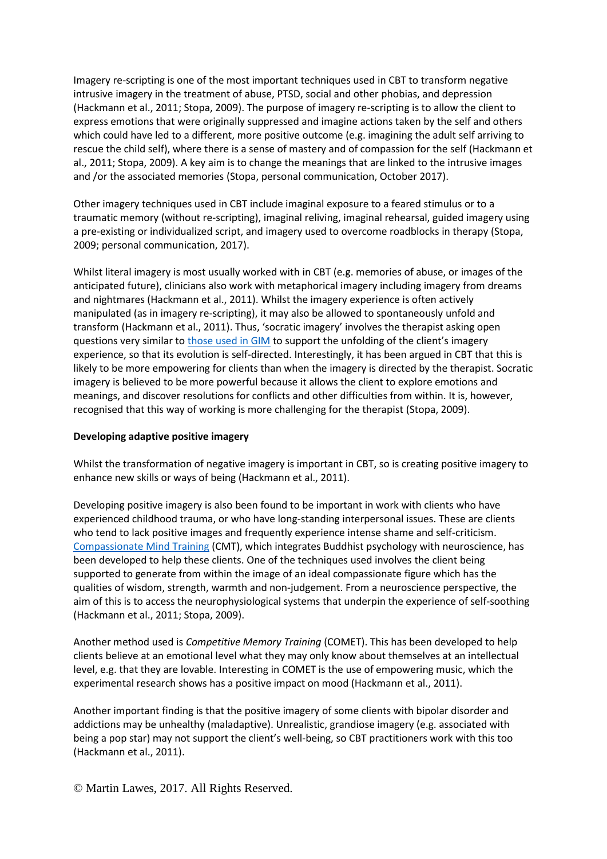Imagery re-scripting is one of the most important techniques used in CBT to transform negative intrusive imagery in the treatment of abuse, PTSD, social and other phobias, and depression (Hackmann et al., 2011; Stopa, 2009). The purpose of imagery re-scripting is to allow the client to express emotions that were originally suppressed and imagine actions taken by the self and others which could have led to a different, more positive outcome (e.g. imagining the adult self arriving to rescue the child self), where there is a sense of mastery and of compassion for the self (Hackmann et al., 2011; Stopa, 2009). A key aim is to change the meanings that are linked to the intrusive images and /or the associated memories (Stopa, personal communication, October 2017).

Other imagery techniques used in CBT include imaginal exposure to a feared stimulus or to a traumatic memory (without re-scripting), imaginal reliving, imaginal rehearsal, guided imagery using a pre-existing or individualized script, and imagery used to overcome roadblocks in therapy (Stopa, 2009; personal communication, 2017).

Whilst literal imagery is most usually worked with in CBT (e.g. memories of abuse, or images of the anticipated future), clinicians also work with metaphorical imagery including imagery from dreams and nightmares (Hackmann et al., 2011). Whilst the imagery experience is often actively manipulated (as in imagery re-scripting), it may also be allowed to spontaneously unfold and transform (Hackmann et al., 2011). Thus, 'socratic imagery' involves the therapist asking open questions very similar to [those used in](https://www.linkedin.com/post/edit/what-does-guiding-involve-bonny-method-guided-imagery-martin-lawes) GIM to support the unfolding of the client's imagery experience, so that its evolution is self-directed. Interestingly, it has been argued in CBT that this is likely to be more empowering for clients than when the imagery is directed by the therapist. Socratic imagery is believed to be more powerful because it allows the client to explore emotions and meanings, and discover resolutions for conflicts and other difficulties from within. It is, however, recognised that this way of working is more challenging for the therapist (Stopa, 2009).

### **Developing adaptive positive imagery**

Whilst the transformation of negative imagery is important in CBT, so is creating positive imagery to enhance new skills or ways of being (Hackmann et al., 2011).

Developing positive imagery is also been found to be important in work with clients who have experienced childhood trauma, or who have long-standing interpersonal issues. These are clients who tend to lack positive images and frequently experience intense shame and self-criticism. [Compassionate Mind Training](https://compassionatemind.co.uk/) (CMT), which integrates Buddhist psychology with neuroscience, has been developed to help these clients. One of the techniques used involves the client being supported to generate from within the image of an ideal compassionate figure which has the qualities of wisdom, strength, warmth and non-judgement. From a neuroscience perspective, the aim of this is to access the neurophysiological systems that underpin the experience of self-soothing (Hackmann et al., 2011; Stopa, 2009).

Another method used is *Competitive Memory Training* (COMET). This has been developed to help clients believe at an emotional level what they may only know about themselves at an intellectual level, e.g. that they are lovable. Interesting in COMET is the use of empowering music, which the experimental research shows has a positive impact on mood (Hackmann et al., 2011).

Another important finding is that the positive imagery of some clients with bipolar disorder and addictions may be unhealthy (maladaptive). Unrealistic, grandiose imagery (e.g. associated with being a pop star) may not support the client's well-being, so CBT practitioners work with this too (Hackmann et al., 2011).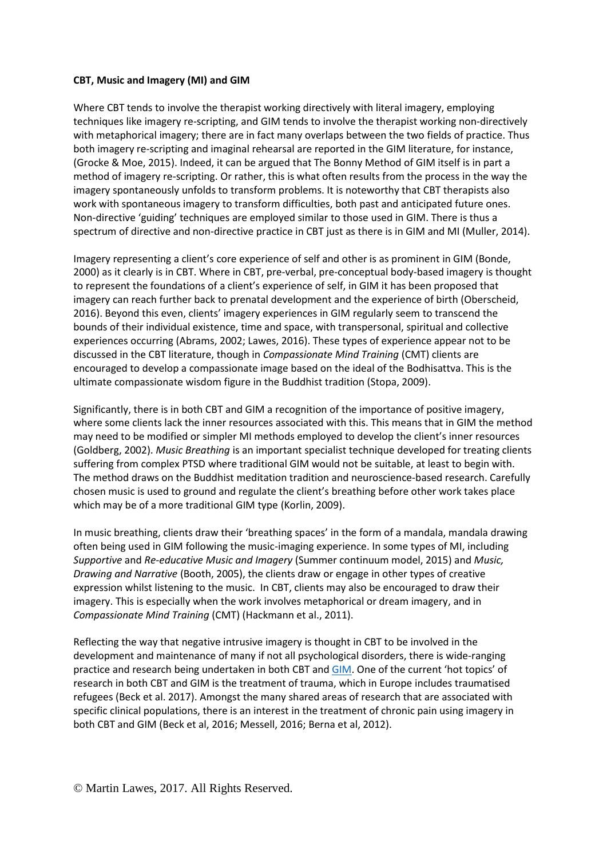### **CBT, Music and Imagery (MI) and GIM**

Where CBT tends to involve the therapist working directively with literal imagery, employing techniques like imagery re-scripting, and GIM tends to involve the therapist working non-directively with metaphorical imagery; there are in fact many overlaps between the two fields of practice. Thus both imagery re-scripting and imaginal rehearsal are reported in the GIM literature, for instance, (Grocke & Moe, 2015). Indeed, it can be argued that The Bonny Method of GIM itself is in part a method of imagery re-scripting. Or rather, this is what often results from the process in the way the imagery spontaneously unfolds to transform problems. It is noteworthy that CBT therapists also work with spontaneous imagery to transform difficulties, both past and anticipated future ones. Non-directive 'guiding' techniques are employed similar to those used in GIM. There is thus a spectrum of directive and non-directive practice in CBT just as there is in GIM and MI (Muller, 2014).

Imagery representing a client's core experience of self and other is as prominent in GIM (Bonde, 2000) as it clearly is in CBT. Where in CBT, pre-verbal, pre-conceptual body-based imagery is thought to represent the foundations of a client's experience of self, in GIM it has been proposed that imagery can reach further back to prenatal development and the experience of birth (Oberscheid, 2016). Beyond this even, clients' imagery experiences in GIM regularly seem to transcend the bounds of their individual existence, time and space, with transpersonal, spiritual and collective experiences occurring (Abrams, 2002; Lawes, 2016). These types of experience appear not to be discussed in the CBT literature, though in *Compassionate Mind Training* (CMT) clients are encouraged to develop a compassionate image based on the ideal of the Bodhisattva. This is the ultimate compassionate wisdom figure in the Buddhist tradition (Stopa, 2009).

Significantly, there is in both CBT and GIM a recognition of the importance of positive imagery, where some clients lack the inner resources associated with this. This means that in GIM the method may need to be modified or simpler MI methods employed to develop the client's inner resources (Goldberg, 2002). *Music Breathing* is an important specialist technique developed for treating clients suffering from complex PTSD where traditional GIM would not be suitable, at least to begin with. The method draws on the Buddhist meditation tradition and neuroscience-based research. Carefully chosen music is used to ground and regulate the client's breathing before other work takes place which may be of a more traditional GIM type (Korlin, 2009).

In music breathing, clients draw their 'breathing spaces' in the form of a mandala, mandala drawing often being used in GIM following the music-imaging experience. In some types of MI, including *Supportive* and *Re-educative Music and Imagery* (Summer continuum model, 2015) and *Music, Drawing and Narrative* (Booth, 2005), the clients draw or engage in other types of creative expression whilst listening to the music. In CBT, clients may also be encouraged to draw their imagery. This is especially when the work involves metaphorical or dream imagery, and in *Compassionate Mind Training* (CMT) (Hackmann et al., 2011).

Reflecting the way that negative intrusive imagery is thought in CBT to be involved in the development and maintenance of many if not all psychological disorders, there is wide-ranging practice and research being undertaken in both CBT an[d GIM.](https://www.integrativegim.org/resources) One of the current 'hot topics' of research in both CBT and GIM is the treatment of trauma, which in Europe includes traumatised refugees (Beck et al. 2017). Amongst the many shared areas of research that are associated with specific clinical populations, there is an interest in the treatment of chronic pain using imagery in both CBT and GIM (Beck et al, 2016; Messell, 2016; Berna et al, 2012).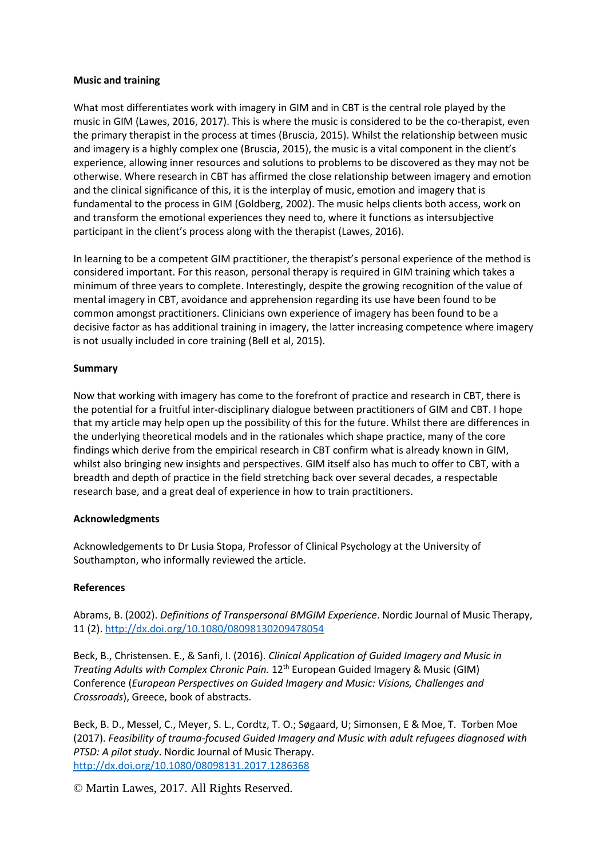#### **Music and training**

What most differentiates work with imagery in GIM and in CBT is the central role played by the music in GIM (Lawes, 2016, 2017). This is where the music is considered to be the co-therapist, even the primary therapist in the process at times (Bruscia, 2015). Whilst the relationship between music and imagery is a highly complex one (Bruscia, 2015), the music is a vital component in the client's experience, allowing inner resources and solutions to problems to be discovered as they may not be otherwise. Where research in CBT has affirmed the close relationship between imagery and emotion and the clinical significance of this, it is the interplay of music, emotion and imagery that is fundamental to the process in GIM (Goldberg, 2002). The music helps clients both access, work on and transform the emotional experiences they need to, where it functions as intersubjective participant in the client's process along with the therapist (Lawes, 2016).

In learning to be a competent GIM practitioner, the therapist's personal experience of the method is considered important. For this reason, personal therapy is required in GIM training which takes a minimum of three years to complete. Interestingly, despite the growing recognition of the value of mental imagery in CBT, avoidance and apprehension regarding its use have been found to be common amongst practitioners. Clinicians own experience of imagery has been found to be a decisive factor as has additional training in imagery, the latter increasing competence where imagery is not usually included in core training (Bell et al, 2015).

### **Summary**

Now that working with imagery has come to the forefront of practice and research in CBT, there is the potential for a fruitful inter-disciplinary dialogue between practitioners of GIM and CBT. I hope that my article may help open up the possibility of this for the future. Whilst there are differences in the underlying theoretical models and in the rationales which shape practice, many of the core findings which derive from the empirical research in CBT confirm what is already known in GIM, whilst also bringing new insights and perspectives. GIM itself also has much to offer to CBT, with a breadth and depth of practice in the field stretching back over several decades, a respectable research base, and a great deal of experience in how to train practitioners.

### **Acknowledgments**

Acknowledgements to Dr Lusia Stopa, Professor of Clinical Psychology at the University of Southampton, who informally reviewed the article.

### **References**

Abrams, B. (2002). *Definitions of Transpersonal BMGIM Experience*. Nordic Journal of Music Therapy, 11 (2).<http://dx.doi.org/10.1080/08098130209478054>

Beck, B., Christensen. E., & Sanfi, I. (2016). *Clinical Application of Guided Imagery and Music in Treating Adults with Complex Chronic Pain.* 12th European Guided Imagery & Music (GIM) Conference (*European Perspectives on Guided Imagery and Music: Visions, Challenges and Crossroads*), Greece, book of abstracts.

Beck, B. D., Messel, C., Meyer, S. L., Cordtz, T. O.; Søgaard, U; Simonsen, E & Moe, T. Torben Moe (2017). *Feasibility of trauma-focused Guided Imagery and Music with adult refugees diagnosed with PTSD: A pilot study*. Nordic Journal of Music Therapy. <http://dx.doi.org/10.1080/08098131.2017.1286368>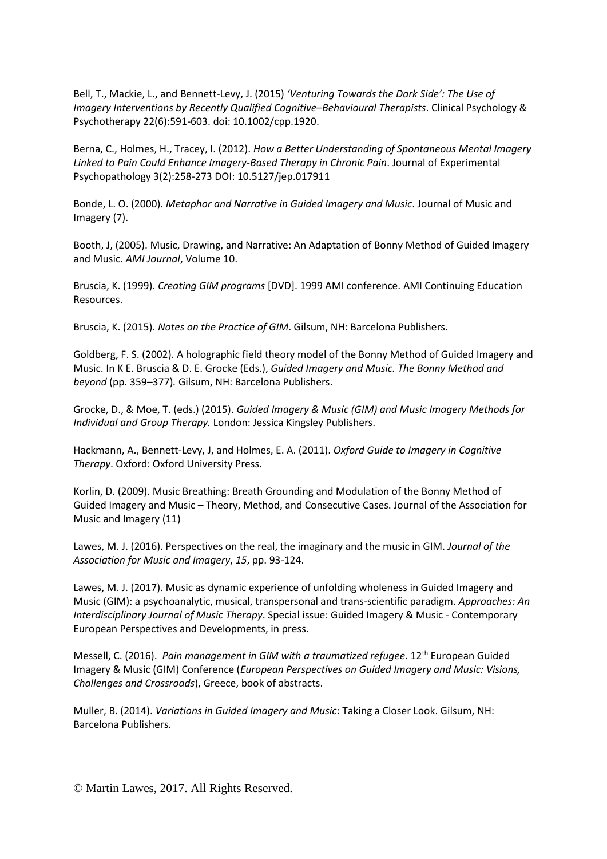Bell, T., Mackie, L., and Bennett-Levy, J. (2015) *'Venturing Towards the Dark Side': The Use of Imagery Interventions by Recently Qualified Cognitive–Behavioural Therapists*. Clinical Psychology & Psychotherapy 22(6):591-603. doi: 10.1002/cpp.1920.

Berna, C., Holmes, H., Tracey, I. (2012). *How a Better Understanding of Spontaneous Mental Imagery Linked to Pain Could Enhance Imagery-Based Therapy in Chronic Pain*. Journal of Experimental Psychopathology 3(2):258-273 DOI: 10.5127/jep.017911

Bonde, L. O. (2000). *Metaphor and Narrative in Guided Imagery and Music*. Journal of Music and Imagery (7).

Booth, J, (2005). Music, Drawing, and Narrative: An Adaptation of Bonny Method of Guided Imagery and Music. *AMI Journal*, Volume 10.

Bruscia, K. (1999). *Creating GIM programs* [DVD]. 1999 AMI conference. AMI Continuing Education Resources.

Bruscia, K. (2015). *Notes on the Practice of GIM*. Gilsum, NH: Barcelona Publishers.

Goldberg, F. S. (2002). A holographic field theory model of the Bonny Method of Guided Imagery and Music. In K E. Bruscia & D. E. Grocke (Eds.), *Guided Imagery and Music. The Bonny Method and beyond* (pp. 359–377)*.* Gilsum, NH: Barcelona Publishers.

Grocke, D., & Moe, T. (eds.) (2015). *Guided Imagery & Music (GIM) and Music Imagery Methods for Individual and Group Therapy.* London: Jessica Kingsley Publishers.

Hackmann, A., Bennett-Levy, J, and Holmes, E. A. (2011). *Oxford Guide to Imagery in Cognitive Therapy*. Oxford: Oxford University Press.

Korlin, D. (2009). Music Breathing: Breath Grounding and Modulation of the Bonny Method of Guided Imagery and Music – Theory, Method, and Consecutive Cases. Journal of the Association for Music and Imagery (11)

Lawes, M. J. (2016). Perspectives on the real, the imaginary and the music in GIM. *Journal of the Association for Music and Imagery*, *15*, pp. 93-124.

Lawes, M. J. (2017). Music as dynamic experience of unfolding wholeness in Guided Imagery and Music (GIM): a psychoanalytic, musical, transpersonal and trans-scientific paradigm. *Approaches: An Interdisciplinary Journal of Music Therapy*. Special issue: Guided Imagery & Music - Contemporary European Perspectives and Developments, in press.

Messell, C. (2016). *Pain management in GIM with a traumatized refugee*. 12th European Guided Imagery & Music (GIM) Conference (*European Perspectives on Guided Imagery and Music: Visions, Challenges and Crossroads*), Greece, book of abstracts.

Muller, B. (2014). *Variations in Guided Imagery and Music*: Taking a Closer Look. Gilsum, NH: Barcelona Publishers.